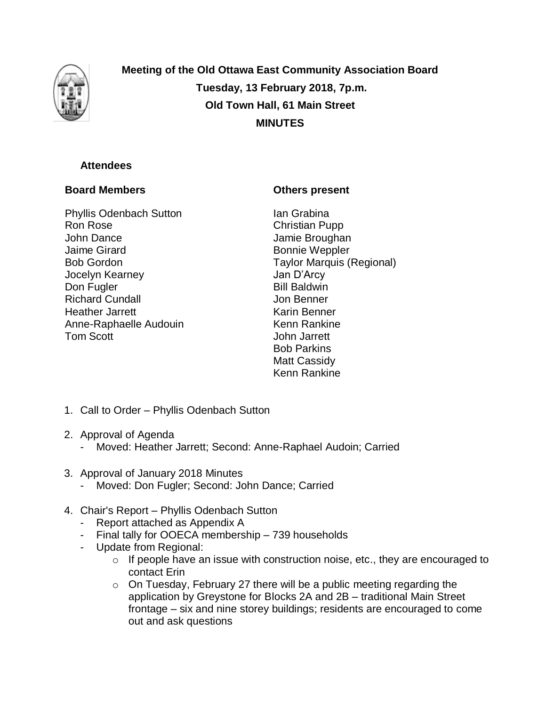

**Meeting of the Old Ottawa East Community Association Board Tuesday, 13 February 2018, 7p.m. Old Town Hall, 61 Main Street MINUTES**

## **Attendees**

## **Board Members**

Phyllis Odenbach Sutton Ron Rose John Dance Jaime Girard Bob Gordon Jocelyn Kearney Don Fugler Richard Cundall Heather Jarrett Anne-Raphaelle Audouin Tom Scott

## **Others present**

Ian Grabina Christian Pupp Jamie Broughan Bonnie Weppler Taylor Marquis (Regional) Jan D'Arcy Bill Baldwin Jon Benner Karin Benner Kenn Rankine John Jarrett Bob Parkins Matt Cassidy Kenn Rankine

- 1. Call to Order Phyllis Odenbach Sutton
- 2. Approval of Agenda
	- Moved: Heather Jarrett; Second: Anne-Raphael Audoin; Carried
- 3. Approval of January 2018 Minutes
	- Moved: Don Fugler; Second: John Dance; Carried
- 4. Chair's Report Phyllis Odenbach Sutton
	- Report attached as Appendix A
	- Final tally for OOECA membership 739 households
	- Update from Regional:
		- $\circ$  If people have an issue with construction noise, etc., they are encouraged to contact Erin
		- o On Tuesday, February 27 there will be a public meeting regarding the application by Greystone for Blocks 2A and 2B – traditional Main Street frontage – six and nine storey buildings; residents are encouraged to come out and ask questions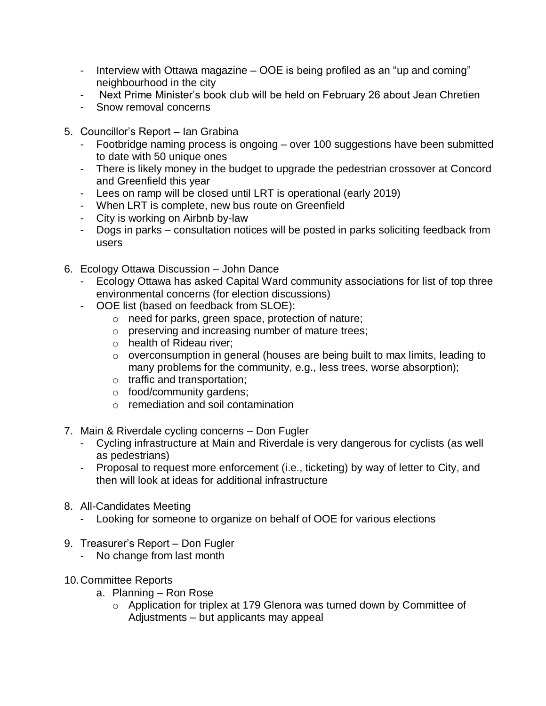- Interview with Ottawa magazine OOE is being profiled as an "up and coming" neighbourhood in the city
- Next Prime Minister's book club will be held on February 26 about Jean Chretien
- Snow removal concerns
- 5. Councillor's Report Ian Grabina
	- Footbridge naming process is ongoing over 100 suggestions have been submitted to date with 50 unique ones
	- There is likely money in the budget to upgrade the pedestrian crossover at Concord and Greenfield this year
	- Lees on ramp will be closed until LRT is operational (early 2019)
	- When LRT is complete, new bus route on Greenfield
	- City is working on Airbnb by-law
	- Dogs in parks consultation notices will be posted in parks soliciting feedback from users
- 6. Ecology Ottawa Discussion John Dance
	- Ecology Ottawa has asked Capital Ward community associations for list of top three environmental concerns (for election discussions)
	- OOE list (based on feedback from SLOE):
		- o need for parks, green space, protection of nature;
		- o preserving and increasing number of mature trees;
		- o health of Rideau river;
		- o overconsumption in general (houses are being built to max limits, leading to many problems for the community, e.g., less trees, worse absorption);
		- o traffic and transportation;
		- o food/community gardens;
		- o remediation and soil contamination
- 7. Main & Riverdale cycling concerns Don Fugler
	- Cycling infrastructure at Main and Riverdale is very dangerous for cyclists (as well as pedestrians)
	- Proposal to request more enforcement (i.e., ticketing) by way of letter to City, and then will look at ideas for additional infrastructure
- 8. All-Candidates Meeting
	- Looking for someone to organize on behalf of OOE for various elections
- 9. Treasurer's Report Don Fugler
	- No change from last month
- 10.Committee Reports
	- a. Planning Ron Rose
		- o Application for triplex at 179 Glenora was turned down by Committee of Adjustments – but applicants may appeal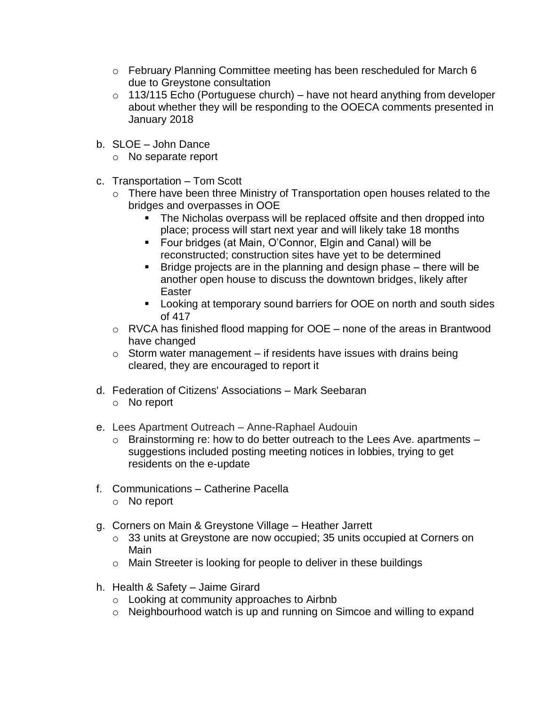- o February Planning Committee meeting has been rescheduled for March 6 due to Greystone consultation
- $\circ$  113/115 Echo (Portuguese church) have not heard anything from developer about whether they will be responding to the OOECA comments presented in January 2018
- b. SLOE John Dance
	- o No separate report
- c. Transportation Tom Scott
	- o There have been three Ministry of Transportation open houses related to the bridges and overpasses in OOE
		- The Nicholas overpass will be replaced offsite and then dropped into place; process will start next year and will likely take 18 months
		- Four bridges (at Main, O'Connor, Elgin and Canal) will be reconstructed; construction sites have yet to be determined
		- $\blacksquare$  Bridge projects are in the planning and design phase  $-$  there will be another open house to discuss the downtown bridges, likely after **Easter**
		- **Looking at temporary sound barriers for OOE on north and south sides** of 417
	- $\circ$  RVCA has finished flood mapping for OOE none of the areas in Brantwood have changed
	- $\circ$  Storm water management if residents have issues with drains being cleared, they are encouraged to report it
- d. Federation of Citizens' Associations Mark Seebaran
	- o No report
- e. Lees Apartment Outreach Anne-Raphael Audouin
	- $\circ$  Brainstorming re: how to do better outreach to the Lees Ave. apartments  $$ suggestions included posting meeting notices in lobbies, trying to get residents on the e-update
- f. Communications Catherine Pacella
	- o No report
- g. Corners on Main & Greystone Village Heather Jarrett
	- o 33 units at Greystone are now occupied; 35 units occupied at Corners on Main
	- o Main Streeter is looking for people to deliver in these buildings
- h. Health & Safety Jaime Girard
	- o Looking at community approaches to Airbnb
	- o Neighbourhood watch is up and running on Simcoe and willing to expand